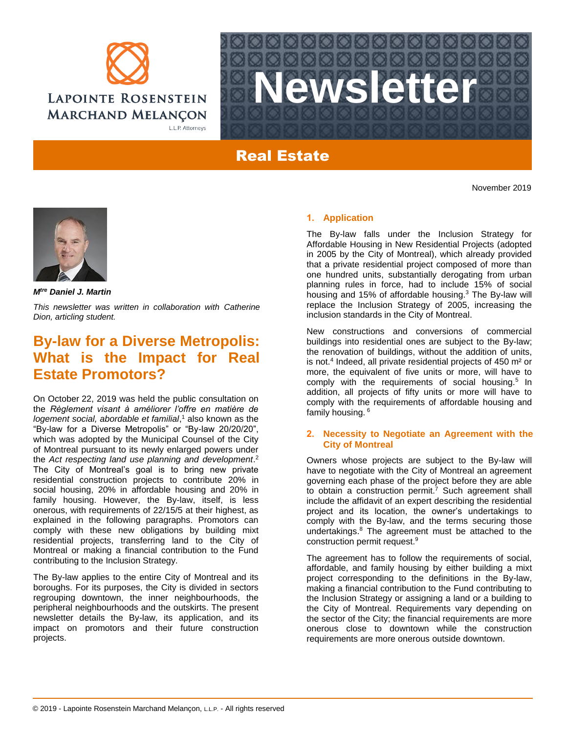



# Real Estate

November 2019



*Mtre Daniel J. Martin*

*This newsletter was written in collaboration with Catherine Dion, articling student.*

## **By-law for a Diverse Metropolis: What is the Impact for Real Estate Promotors?**

On October 22, 2019 was held the public consultation on the *Règlement visant à améliorer l'offre en matière de logement social, abordable et familial*, <sup>1</sup> also known as the "By-law for a Diverse Metropolis" or "By-law 20/20/20", which was adopted by the Municipal Counsel of the City of Montreal pursuant to its newly enlarged powers under the *Act respecting land use planning and development*. 2 The City of Montreal's goal is to bring new private residential construction projects to contribute 20% in social housing, 20% in affordable housing and 20% in family housing. However, the By-law, itself, is less onerous, with requirements of 22/15/5 at their highest, as explained in the following paragraphs. Promotors can comply with these new obligations by building mixt residential projects, transferring land to the City of Montreal or making a financial contribution to the Fund contributing to the Inclusion Strategy.

The By-law applies to the entire City of Montreal and its boroughs. For its purposes, the City is divided in sectors regrouping downtown, the inner neighbourhoods, the peripheral neighbourhoods and the outskirts. The present newsletter details the By-law, its application, and its impact on promotors and their future construction projects.

### **1. Application**

The By-law falls under the Inclusion Strategy for Affordable Housing in New Residential Projects (adopted in 2005 by the City of Montreal), which already provided that a private residential project composed of more than one hundred units, substantially derogating from urban planning rules in force, had to include 15% of social housing and 15% of affordable housing.<sup>3</sup> The By-law will replace the Inclusion Strategy of 2005, increasing the inclusion standards in the City of Montreal.

New constructions and conversions of commercial buildings into residential ones are subject to the By-law; the renovation of buildings, without the addition of units, is not.<sup>4</sup> Indeed, all private residential projects of 450  $m<sup>2</sup>$  or more, the equivalent of five units or more, will have to comply with the requirements of social housing.<sup>5</sup> In addition, all projects of fifty units or more will have to comply with the requirements of affordable housing and family housing. <sup>6</sup>

### **2. Necessity to Negotiate an Agreement with the City of Montreal**

Owners whose projects are subject to the By-law will have to negotiate with the City of Montreal an agreement governing each phase of the project before they are able to obtain a construction permit.<sup>7</sup> Such agreement shall include the affidavit of an expert describing the residential project and its location, the owner's undertakings to comply with the By-law, and the terms securing those undertakings.<sup>8</sup> The agreement must be attached to the construction permit request.<sup>9</sup>

The agreement has to follow the requirements of social, affordable, and family housing by either building a mixt project corresponding to the definitions in the By-law, making a financial contribution to the Fund contributing to the Inclusion Strategy or assigning a land or a building to the City of Montreal. Requirements vary depending on the sector of the City; the financial requirements are more onerous close to downtown while the construction requirements are more onerous outside downtown.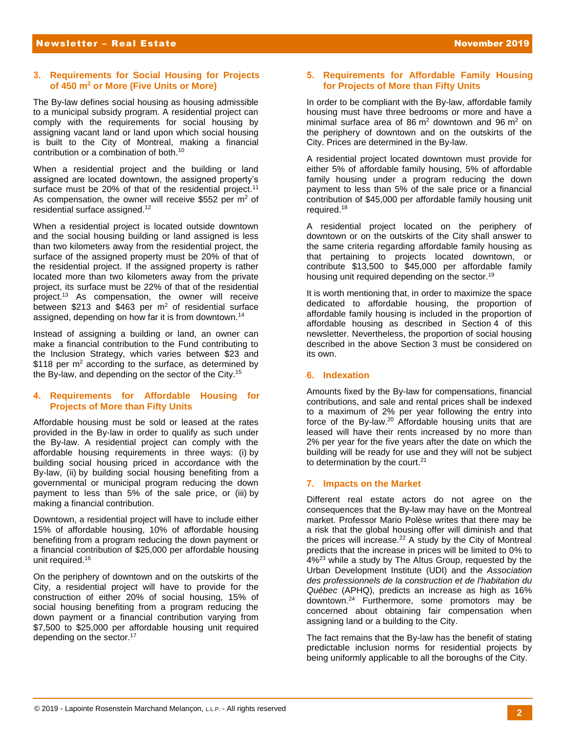### **3. Requirements for Social Housing for Projects of 450 m<sup>2</sup> or More (Five Units or More)**

The By-law defines social housing as housing admissible to a municipal subsidy program. A residential project can comply with the requirements for social housing by assigning vacant land or land upon which social housing is built to the City of Montreal, making a financial contribution or a combination of both.<sup>10</sup>

When a residential project and the building or land assigned are located downtown, the assigned property's surface must be 20% of that of the residential project.<sup>11</sup> As compensation, the owner will receive \$552 per  $m<sup>2</sup>$  of residential surface assigned.<sup>12</sup>

When a residential project is located outside downtown and the social housing building or land assigned is less than two kilometers away from the residential project, the surface of the assigned property must be 20% of that of the residential project. If the assigned property is rather located more than two kilometers away from the private project, its surface must be 22% of that of the residential project.<sup>13</sup> As compensation, the owner will receive between \$213 and \$463 per  $m^2$  of residential surface assigned, depending on how far it is from downtown.<sup>14</sup>

Instead of assigning a building or land, an owner can make a financial contribution to the Fund contributing to the Inclusion Strategy, which varies between \$23 and \$118 per  $m<sup>2</sup>$  according to the surface, as determined by the By-law, and depending on the sector of the City.<sup>15</sup>

### **4. Requirements for Affordable Housing for Projects of More than Fifty Units**

Affordable housing must be sold or leased at the rates provided in the By-law in order to qualify as such under the By-law. A residential project can comply with the affordable housing requirements in three ways: (i) by building social housing priced in accordance with the By-law, (ii) by building social housing benefiting from a governmental or municipal program reducing the down payment to less than 5% of the sale price, or (iii) by making a financial contribution.

Downtown, a residential project will have to include either 15% of affordable housing, 10% of affordable housing benefiting from a program reducing the down payment or a financial contribution of \$25,000 per affordable housing unit required.<sup>16</sup>

On the periphery of downtown and on the outskirts of the City, a residential project will have to provide for the construction of either 20% of social housing, 15% of social housing benefiting from a program reducing the down payment or a financial contribution varying from \$7,500 to \$25,000 per affordable housing unit required depending on the sector.<sup>17</sup>

## **5. Requirements for Affordable Family Housing for Projects of More than Fifty Units**

In order to be compliant with the By-law, affordable family housing must have three bedrooms or more and have a minimal surface area of  $86 \text{ m}^2$  downtown and  $96 \text{ m}^2$  on the periphery of downtown and on the outskirts of the City. Prices are determined in the By-law.

A residential project located downtown must provide for either 5% of affordable family housing, 5% of affordable family housing under a program reducing the down payment to less than 5% of the sale price or a financial contribution of \$45,000 per affordable family housing unit required.<sup>18</sup>

A residential project located on the periphery of downtown or on the outskirts of the City shall answer to the same criteria regarding affordable family housing as that pertaining to projects located downtown, or contribute \$13,500 to \$45,000 per affordable family housing unit required depending on the sector.<sup>19</sup>

It is worth mentioning that, in order to maximize the space dedicated to affordable housing, the proportion of affordable family housing is included in the proportion of affordable housing as described in Section 4 of this newsletter. Nevertheless, the proportion of social housing described in the above Section 3 must be considered on its own.

### **6. Indexation**

Amounts fixed by the By-law for compensations, financial contributions, and sale and rental prices shall be indexed to a maximum of 2% per year following the entry into force of the By-law.<sup>20</sup> Affordable housing units that are leased will have their rents increased by no more than 2% per year for the five years after the date on which the building will be ready for use and they will not be subject to determination by the court.<sup>21</sup>

## **7. Impacts on the Market**

Different real estate actors do not agree on the consequences that the By-law may have on the Montreal market. Professor Mario Polèse writes that there may be a risk that the global housing offer will diminish and that the prices will increase. $22$  A study by the City of Montreal predicts that the increase in prices will be limited to 0% to 4%<sup>23</sup> while a study by The Altus Group, requested by the Urban Development Institute (UDI) and the *Association des professionnels de la construction et de l'habitation du Québec* (APHQ), predicts an increase as high as 16% downtown.<sup>24</sup> Furthermore, some promotors may be concerned about obtaining fair compensation when assigning land or a building to the City.

The fact remains that the By-law has the benefit of stating predictable inclusion norms for residential projects by being uniformly applicable to all the boroughs of the City.